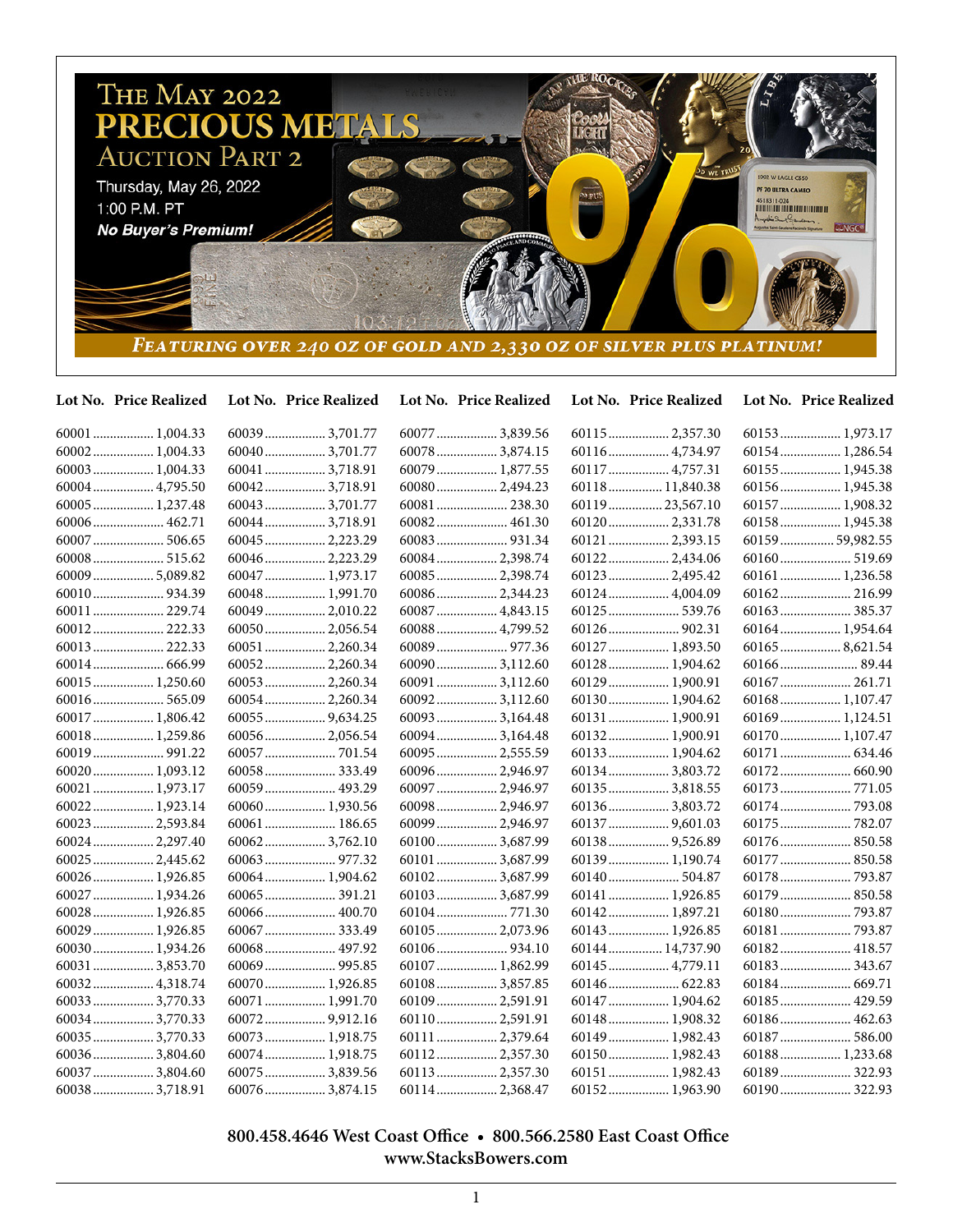

| Lot No. Price Realized | Lot No. Price Realized | Lot No. Price Realized | Lot No. Price Realized | Lot No. Price Realized |
|------------------------|------------------------|------------------------|------------------------|------------------------|
| $60001$ 1,004.33       | 600393,701.77          | 60077  3,839.56        |                        | 60153 1,973.17         |
| 60002 1,004.33         | 60040 3,701.77         | 60078  3,874.15        | 60116  4,734.97        | 60154 1,286.54         |
| 60003 1,004.33         | 60041  3,718.91        | 60079  1,877.55        | 60117  4,757.31        | 60155  1,945.38        |
| 60004 4,795.50         | 60042 3,718.91         | 60080  2,494.23        | 60118 11,840.38        | 60156 1,945.38         |
| 60005  1,237.48        | 60043 3,701.77         | 60081  238.30          | 60119  23,567.10       | 60157  1,908.32        |
| 60006 462.71           | 60044 3,718.91         | 60082 461.30           | 601202,331.78          | 60158 1,945.38         |
| 60007  506.65          | 60045  2,223.29        |                        | 60121  2,393.15        | 60159  59,982.55       |
| 60008 515.62           | 60046 2,223.29         | 60084 2,398.74         | 60122 2,434.06         | 60160 519.69           |
| 60009  5,089.82        | 60047  1,973.17        | 60085  2,398.74        | 60123  2,495.42        | 60161  1,236.58        |
|                        | 60048 1,991.70         | 60086 2,344.23         | 60124  4,004.09        | 60162 216.99           |
| 60011  229.74          | 60049 2,010.22         | 60087  4,843.15        | 60125  539.76          |                        |
| 60012 222.33           | 60050 2,056.54         | 60088 4,799.52         |                        | 60164 1,954.64         |
| 60013 222.33           | 60051  2,260.34        | 60089  977.36          | 60127  1,893.50        | 60165  8,621.54        |
| 60014  666.99          | 60052 2,260.34         | 60090 3,112.60         | 60128 1,904.62         |                        |
| 60015 1,250.60         | 60053 2,260.34         | 60091  3,112.60        | 60129  1,900.91        | 60167  261.71          |
| 60016 565.09           | 60054 2,260.34         | 600923,112.60          | 60130 1,904.62         | 60168 1,107.47         |
| 60017  1,806.42        | $60055$ 9,634.25       | 60093  3,164.48        | 60131  1,900.91        | 60169 1,124.51         |
| 60018 1,259.86         | 60056 2,056.54         | 60094 3,164.48         | 60132 1,900.91         | 60170 1,107.47         |
|                        |                        | 60095  2,555.59        | 60133  1,904.62        | 60171  634.46          |
| 60020 1,093.12         | 60058333.49            | 60096 2,946.97         | 60134 3,803.72         | 60172 660.90           |
| 60021  1,973.17        | 60059 493.29           | 60097  2,946.97        | 60135  3,818.55        | 60173  771.05          |
| 60022 1,923.14         | 60060 1,930.56         | 60098 2,946.97         | 601363,803.72          | 60174  793.08          |
| 60023  2,593.84        | 60061  186.65          | 60099  2,946.97        | 60137  9,601.03        | 60175  782.07          |
| 60024 2,297.40         | 600623,762.10          | 601003,687.99          |                        | 60176  850.58          |
| 60025  2,445.62        |                        | 60101  3,687.99        | 60139 1,190.74         | 60177  850.58          |
| 60026 1,926.85         | 60064 1,904.62         | 60102 3,687.99         | 60140 504.87           |                        |
| 60027  1,934.26        |                        | 60103 3,687.99         | 60141  1,926.85        | 60179  850.58          |
| 60028 1,926.85         |                        |                        | 60142 1,897.21         |                        |
| 60029  1,926.85        |                        | 60105  2,073.96        | 60143  1,926.85        |                        |
| 60030 1,934.26         | 60068 497.92           |                        | 60144  14,737.90       | 60182 418.57           |
| 60031  3,853.70        |                        | 60107  1,862.99        | 60145  4,779.11        | 60183 343.67           |
| 60032 4,318.74         | 60070 1,926.85         | 601083,857.85          |                        |                        |
| 60033  3,770.33        | 60071  1,991.70        | 60109 2,591.91         | 60147  1,904.62        | 60185  429.59          |
| 60034  3,770.33        |                        | 60110 2,591.91         | 60148  1,908.32        | 60186 462.63           |
| 60035  3,770.33        | 60073 1,918.75         | 60111  2,379.64        | 60149  1,982.43        | 60187  586.00          |
| 60036 3,804.60         | 60074 1,918.75         | 601122,357.30          | 60150 1,982.43         | 60188 1,233.68         |
| 60037  3,804.60        | $60075$ 3,839.56       | 60113  2,357.30        | 60151  1,982.43        | 60189  322.93          |
| 60038  3,718.91        | 60076 3,874.15         | 60114 2,368.47         | 60152 1,963.90         |                        |

 **800.458.4646 West Coast Office • 800.566.2580 East Coast Office www.StacksBowers.com**